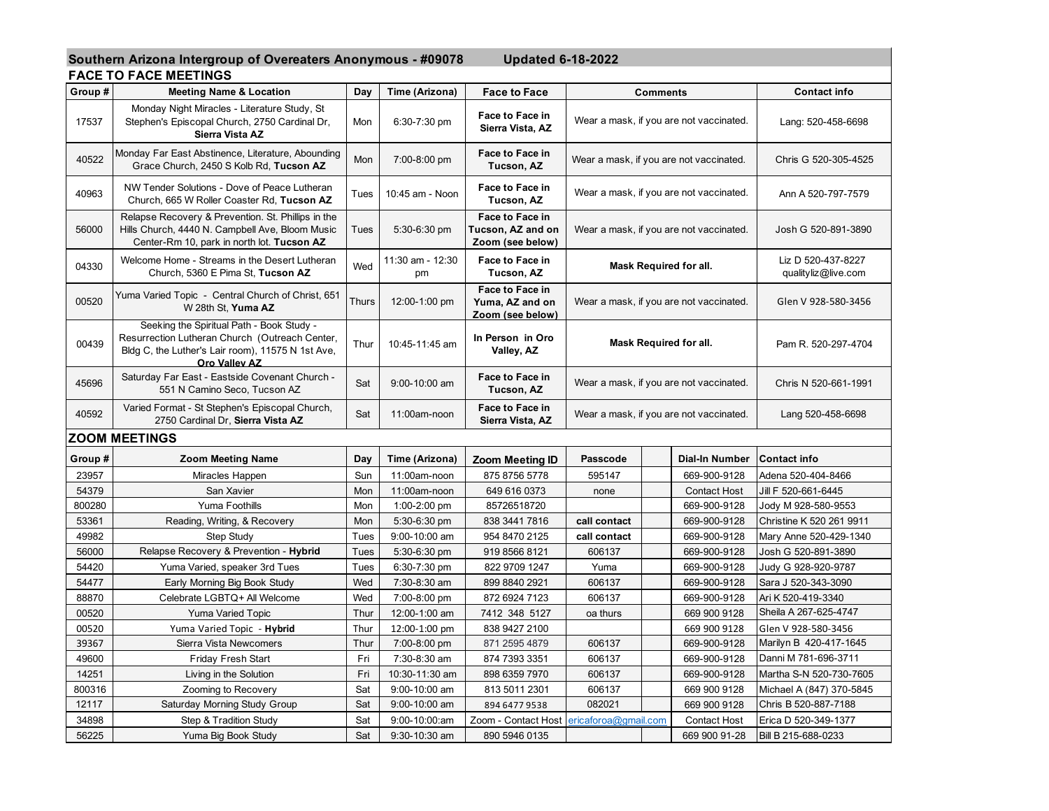**Southern Arizona Intergroup of Overeaters Anonymous - #09078 Updated 6-18-2022** 

|  |  | <b>FACE TO FACE MEETINGS</b> |  |
|--|--|------------------------------|--|
|  |  |                              |  |

|         | FAGE TO FAGE MEETINGS                                                                                                                                             |       |                        |                                                          |                                         |                 |                                           |                          |
|---------|-------------------------------------------------------------------------------------------------------------------------------------------------------------------|-------|------------------------|----------------------------------------------------------|-----------------------------------------|-----------------|-------------------------------------------|--------------------------|
| Group#  | <b>Meeting Name &amp; Location</b>                                                                                                                                | Day   | Time (Arizona)         | <b>Face to Face</b>                                      |                                         | <b>Comments</b> |                                           | <b>Contact info</b>      |
| 17537   | Monday Night Miracles - Literature Study, St<br>Stephen's Episcopal Church, 2750 Cardinal Dr,<br>Sierra Vista AZ                                                  | Mon   | 6:30-7:30 pm           | Face to Face in<br>Sierra Vista, AZ                      | Wear a mask, if you are not vaccinated. |                 | Lang: 520-458-6698                        |                          |
| 40522   | Monday Far East Abstinence, Literature, Abounding<br>Grace Church, 2450 S Kolb Rd, Tucson AZ                                                                      | Mon   | 7:00-8:00 pm           | Face to Face in<br>Tucson, AZ                            | Wear a mask, if you are not vaccinated. |                 | Chris G 520-305-4525                      |                          |
| 40963   | NW Tender Solutions - Dove of Peace Lutheran<br>Church, 665 W Roller Coaster Rd, Tucson AZ                                                                        | Tues  | 10:45 am - Noon        | Face to Face in<br>Tucson, AZ                            | Wear a mask, if you are not vaccinated. |                 | Ann A 520-797-7579                        |                          |
| 56000   | Relapse Recovery & Prevention. St. Phillips in the<br>Hills Church, 4440 N. Campbell Ave, Bloom Music<br>Center-Rm 10, park in north lot. Tucson AZ               | Tues  | 5:30-6:30 pm           | Face to Face in<br>Tucson, AZ and on<br>Zoom (see below) | Wear a mask, if you are not vaccinated. |                 | Josh G 520-891-3890                       |                          |
| 04330   | Welcome Home - Streams in the Desert Lutheran<br>Church, 5360 E Pima St, Tucson AZ                                                                                | Wed   | 11:30 am - 12:30<br>pm | Face to Face in<br>Tucson, AZ                            | Mask Required for all.                  |                 | Liz D 520-437-8227<br>qualityliz@live.com |                          |
| 00520   | Yuma Varied Topic - Central Church of Christ, 651<br>W 28th St, Yuma AZ                                                                                           | Thurs | 12:00-1:00 pm          | Face to Face in<br>Yuma, AZ and on<br>Zoom (see below)   | Wear a mask, if you are not vaccinated. |                 | Glen V 928-580-3456                       |                          |
| 00439   | Seeking the Spiritual Path - Book Study -<br>Resurrection Lutheran Church (Outreach Center,<br>Bldg C, the Luther's Lair room), 11575 N 1st Ave,<br>Oro Vallev AZ | Thur  | 10:45-11:45 am         | In Person in Oro<br>Valley, AZ                           | <b>Mask Required for all.</b>           |                 | Pam R. 520-297-4704                       |                          |
| 45696   | Saturday Far East - Eastside Covenant Church -<br>551 N Camino Seco, Tucson AZ                                                                                    | Sat   | 9:00-10:00 am          | Face to Face in<br>Tucson, AZ                            | Wear a mask, if you are not vaccinated. |                 | Chris N 520-661-1991                      |                          |
| 40592   | Varied Format - St Stephen's Episcopal Church,<br>2750 Cardinal Dr, Sierra Vista AZ                                                                               | Sat   | 11:00am-noon           | Face to Face in<br>Sierra Vista, AZ                      | Wear a mask, if you are not vaccinated. |                 | Lang 520-458-6698                         |                          |
|         | <b>ZOOM MEETINGS</b>                                                                                                                                              |       |                        |                                                          |                                         |                 |                                           |                          |
| Group # | <b>Zoom Meeting Name</b>                                                                                                                                          | Day   | Time (Arizona)         | <b>Zoom Meeting ID</b>                                   | Passcode                                |                 | Dial-In Number                            | <b>Contact info</b>      |
| 23957   | Miracles Happen                                                                                                                                                   | Sun   | 11:00am-noon           | 875 8756 5778                                            | 595147                                  |                 | 669-900-9128                              | Adena 520-404-8466       |
| 54379   | San Xavier                                                                                                                                                        | Mon   | 11:00am-noon           | 649 616 0373                                             | none                                    |                 | <b>Contact Host</b>                       | Jill F 520-661-6445      |
| 800280  | Yuma Foothills                                                                                                                                                    | Mon   | 1:00-2:00 pm           | 85726518720                                              |                                         |                 | 669-900-9128                              | Jody M 928-580-9553      |
| 53361   | Reading, Writing, & Recovery                                                                                                                                      | Mon   | 5:30-6:30 pm           | 838 3441 7816                                            | call contact                            |                 | 669-900-9128                              | Christine K 520 261 9911 |
| 49982   | Step Study                                                                                                                                                        | Tues  | 9:00-10:00 am          | 954 8470 2125                                            | call contact                            |                 | 669-900-9128                              | Mary Anne 520-429-1340   |
| 56000   | Relapse Recovery & Prevention - Hybrid                                                                                                                            | Tues  | 5:30-6:30 pm           | 919 8566 8121                                            | 606137                                  |                 | 669-900-9128                              | Josh G 520-891-3890      |
| 54420   | Yuma Varied, speaker 3rd Tues                                                                                                                                     | Tues  | 6:30-7:30 pm           | 822 9709 1247                                            | Yuma                                    |                 | 669-900-9128                              | Judy G 928-920-9787      |
| 54477   | Early Morning Big Book Study                                                                                                                                      | Wed   | 7:30-8:30 am           | 899 8840 2921                                            | 606137                                  |                 | 669-900-9128                              | Sara J 520-343-3090      |
| 88870   | Celebrate LGBTQ+ All Welcome                                                                                                                                      |       | 7:00-8:00 pm           | 872 6924 7123                                            | 606137                                  |                 | 669-900-9128                              | Ari K 520-419-3340       |
| 00520   | <b>Yuma Varied Topic</b>                                                                                                                                          |       | 12:00-1:00 am          | 7412 348 5127                                            | oa thurs                                |                 | 669 900 9128                              | Sheila A 267-625-4747    |
| 00520   | Yuma Varied Topic - Hybrid                                                                                                                                        |       | 12:00-1:00 pm          | 838 9427 2100                                            |                                         |                 | 669 900 9128                              | Glen V 928-580-3456      |
| 39367   | Sierra Vista Newcomers                                                                                                                                            |       | 7:00-8:00 pm           | 871 2595 4879                                            | 606137                                  |                 | 669-900-9128                              | Marilyn B 420-417-1645   |
| 49600   | <b>Friday Fresh Start</b>                                                                                                                                         |       | 7:30-8:30 am           | 874 7393 3351                                            | 606137                                  |                 | 669-900-9128                              | Danni M 781-696-3711     |
| 14251   | Living in the Solution                                                                                                                                            |       | 10:30-11:30 am         | 898 6359 7970                                            | 606137                                  |                 | 669-900-9128                              | Martha S-N 520-730-7605  |
| 800316  | Zooming to Recovery                                                                                                                                               | Sat   | 9:00-10:00 am          | 813 5011 2301                                            | 606137                                  |                 | 669 900 9128                              | Michael A (847) 370-5845 |
| 12117   | Saturday Morning Study Group                                                                                                                                      | Sat   | 9:00-10:00 am          | 894 6477 9538                                            | 082021                                  |                 | 669 900 9128                              | Chris B 520-887-7188     |
| 34898   | Step & Tradition Study                                                                                                                                            | Sat   | 9:00-10:00:am          | Zoom - Contact Host                                      | ericaforoa@gmail.com                    |                 | <b>Contact Host</b>                       | Erica D 520-349-1377     |
| 56225   | Yuma Big Book Study                                                                                                                                               | Sat   | 9:30-10:30 am          | 890 5946 0135                                            |                                         |                 | 669 900 91-28                             | Bill B 215-688-0233      |